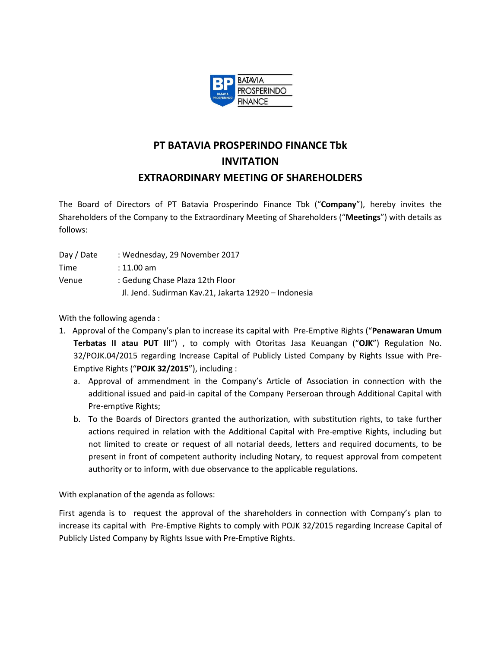

## **PT BATAVIA PROSPERINDO FINANCE Tbk INVITATION EXTRAORDINARY MEETING OF SHAREHOLDERS**

The Board of Directors of PT Batavia Prosperindo Finance Tbk ("**Company**"), hereby invites the Shareholders of the Company to the Extraordinary Meeting of Shareholders ("**Meetings**") with details as follows:

- Day / Date : Wednesday, 29 November 2017 Time : 11.00 am
- Venue : Gedung Chase Plaza 12th Floor Jl. Jend. Sudirman Kav.21, Jakarta 12920 – Indonesia

With the following agenda :

- 1. Approval of the Company's plan to increase its capital with Pre-Emptive Rights ("**Penawaran Umum Terbatas II atau PUT III**") , to comply with Otoritas Jasa Keuangan ("**OJK**") Regulation No. 32/POJK.04/2015 regarding Increase Capital of Publicly Listed Company by Rights Issue with Pre-Emptive Rights ("**POJK 32/2015**"), including :
	- a. Approval of ammendment in the Company's Article of Association in connection with the additional issued and paid-in capital of the Company Perseroan through Additional Capital with Pre-emptive Rights;
	- b. To the Boards of Directors granted the authorization, with substitution rights, to take further actions required in relation with the Additional Capital with Pre-emptive Rights, including but not limited to create or request of all notarial deeds, letters and required documents, to be present in front of competent authority including Notary, to request approval from competent authority or to inform, with due observance to the applicable regulations.

With explanation of the agenda as follows:

First agenda is to request the approval of the shareholders in connection with Company's plan to increase its capital with Pre-Emptive Rights to comply with POJK 32/2015 regarding Increase Capital of Publicly Listed Company by Rights Issue with Pre-Emptive Rights.